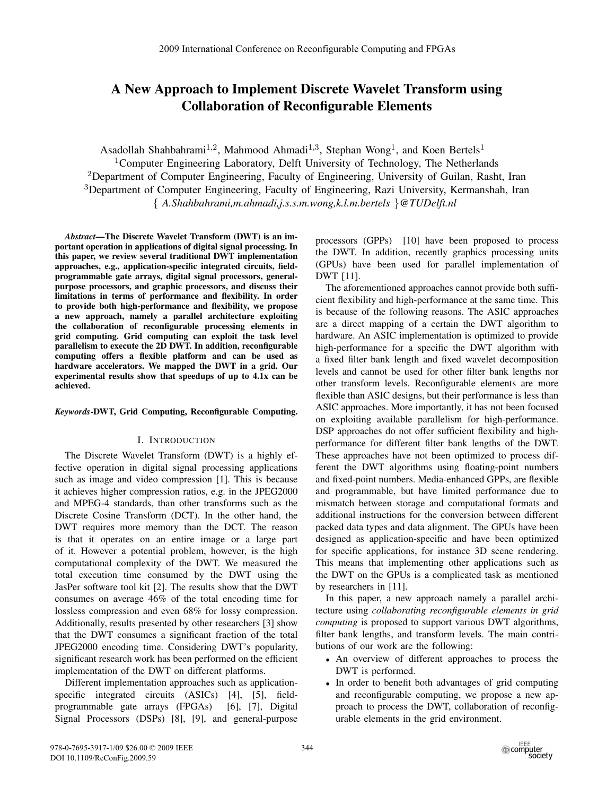# **A New Approach to Implement Discrete Wavelet Transform using Collaboration of Reconfigurable Elements**

Asadollah Shahbahrami<sup>1,2</sup>, Mahmood Ahmadi<sup>1,3</sup>, Stephan Wong<sup>1</sup>, and Koen Bertels<sup>1</sup>

<sup>1</sup>Computer Engineering Laboratory, Delft University of Technology, The Netherlands <sup>2</sup>Department of Computer Engineering, Faculty of Engineering, University of Guilan, Rasht, Iran <sup>3</sup>Department of Computer Engineering, Faculty of Engineering, Razi University, Kermanshah, Iran { *A.Shahbahrami,m.ahmadi,j.s.s.m.wong,k.l.m.bertels* }*@TUDelft.nl*

*Abstract***—The Discrete Wavelet Transform (DWT) is an important operation in applications of digital signal processing. In this paper, we review several traditional DWT implementation approaches, e.g., application-specific integrated circuits, fieldprogrammable gate arrays, digital signal processors, generalpurpose processors, and graphic processors, and discuss their limitations in terms of performance and flexibility. In order to provide both high-performance and flexibility, we propose a new approach, namely a parallel architecture exploiting the collaboration of reconfigurable processing elements in grid computing. Grid computing can exploit the task level parallelism to execute the 2D DWT. In addition, reconfigurable computing offers a flexible platform and can be used as hardware accelerators. We mapped the DWT in a grid. Our experimental results show that speedups of up to 4.1x can be achieved.**

#### *Keywords***-DWT, Grid Computing, Reconfigurable Computing.**

#### I. INTRODUCTION

The Discrete Wavelet Transform (DWT) is a highly effective operation in digital signal processing applications such as image and video compression [1]. This is because it achieves higher compression ratios, e.g. in the JPEG2000 and MPEG-4 standards, than other transforms such as the Discrete Cosine Transform (DCT). In the other hand, the DWT requires more memory than the DCT. The reason is that it operates on an entire image or a large part of it. However a potential problem, however, is the high computational complexity of the DWT. We measured the total execution time consumed by the DWT using the JasPer software tool kit [2]. The results show that the DWT consumes on average 46% of the total encoding time for lossless compression and even 68% for lossy compression. Additionally, results presented by other researchers [3] show that the DWT consumes a significant fraction of the total JPEG2000 encoding time. Considering DWT's popularity, significant research work has been performed on the efficient implementation of the DWT on different platforms.

Different implementation approaches such as applicationspecific integrated circuits (ASICs) [4], [5], fieldprogrammable gate arrays (FPGAs) [6], [7], Digital Signal Processors (DSPs) [8], [9], and general-purpose processors (GPPs) [10] have been proposed to process the DWT. In addition, recently graphics processing units (GPUs) have been used for parallel implementation of DWT [11].

The aforementioned approaches cannot provide both sufficient flexibility and high-performance at the same time. This is because of the following reasons. The ASIC approaches are a direct mapping of a certain the DWT algorithm to hardware. An ASIC implementation is optimized to provide high-performance for a specific the DWT algorithm with a fixed filter bank length and fixed wavelet decomposition levels and cannot be used for other filter bank lengths nor other transform levels. Reconfigurable elements are more flexible than ASIC designs, but their performance is less than ASIC approaches. More importantly, it has not been focused on exploiting available parallelism for high-performance. DSP approaches do not offer sufficient flexibility and highperformance for different filter bank lengths of the DWT. These approaches have not been optimized to process different the DWT algorithms using floating-point numbers and fixed-point numbers. Media-enhanced GPPs, are flexible and programmable, but have limited performance due to mismatch between storage and computational formats and additional instructions for the conversion between different packed data types and data alignment. The GPUs have been designed as application-specific and have been optimized for specific applications, for instance 3D scene rendering. This means that implementing other applications such as the DWT on the GPUs is a complicated task as mentioned by researchers in [11].

In this paper, a new approach namely a parallel architecture using *collaborating reconfigurable elements in grid computing* is proposed to support various DWT algorithms, filter bank lengths, and transform levels. The main contributions of our work are the following:

- *•* An overview of different approaches to process the DWT is performed.
- *•* In order to benefit both advantages of grid computing and reconfigurable computing, we propose a new approach to process the DWT, collaboration of reconfigurable elements in the grid environment.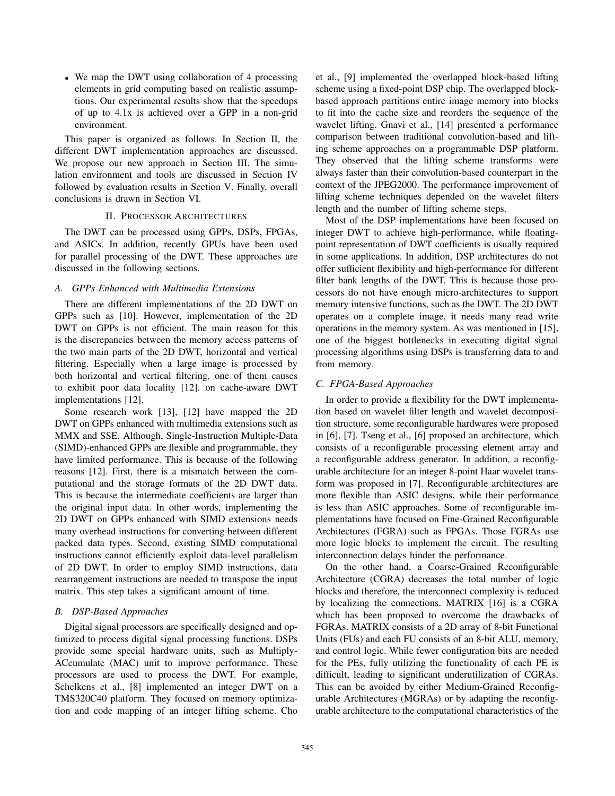• We map the DWT using collaboration of 4 processing elements in grid computing based on realistic assumptions. Our experimental results show that the speedups of up to 4.1x is achieved over a GPP in a non-grid environment.

This paper is organized as follows. In Section II, the different DWT implementation approaches are discussed. We propose our new approach in Section III. The simulation environment and tools are discussed in Section IV followed by evaluation results in Section V. Finally, overall conclusions is drawn in Section VI.

### II. PROCESSOR ARCHITECTURES

The DWT can be processed using GPPs, DSPs, FPGAs, and ASICs. In addition, recently GPUs have been used for parallel processing of the DWT. These approaches are discussed in the following sections.

#### *A. GPPs Enhanced with Multimedia Extensions*

There are different implementations of the 2D DWT on GPPs such as [10]. However, implementation of the 2D DWT on GPPs is not efficient. The main reason for this is the discrepancies between the memory access patterns of the two main parts of the 2D DWT, horizontal and vertical filtering. Especially when a large image is processed by both horizontal and vertical filtering, one of them causes to exhibit poor data locality [12]. on cache-aware DWT implementations [12].

Some research work [13], [12] have mapped the 2D DWT on GPPs enhanced with multimedia extensions such as MMX and SSE. Although, Single-Instruction Multiple-Data (SIMD)-enhanced GPPs are flexible and programmable, they have limited performance. This is because of the following reasons [12]. First, there is a mismatch between the computational and the storage formats of the 2D DWT data. This is because the intermediate coefficients are larger than the original input data. In other words, implementing the 2D DWT on GPPs enhanced with SIMD extensions needs many overhead instructions for converting between different packed data types. Second, existing SIMD computational instructions cannot efficiently exploit data-level parallelism of 2D DWT. In order to employ SIMD instructions, data rearrangement instructions are needed to transpose the input matrix. This step takes a significant amount of time.

# *B. DSP-Based Approaches*

Digital signal processors are specifically designed and optimized to process digital signal processing functions. DSPs provide some special hardware units, such as Multiply-ACcumulate (MAC) unit to improve performance. These processors are used to process the DWT. For example, Schelkens et al., [8] implemented an integer DWT on a TMS320C40 platform. They focused on memory optimization and code mapping of an integer lifting scheme. Cho et al., [9] implemented the overlapped block-based lifting scheme using a fixed-point DSP chip. The overlapped blockbased approach partitions entire image memory into blocks to fit into the cache size and reorders the sequence of the wavelet lifting. Gnavi et al., [14] presented a performance comparison between traditional convolution-based and lifting scheme approaches on a programmable DSP platform. They observed that the lifting scheme transforms were always faster than their convolution-based counterpart in the context of the JPEG2000. The performance improvement of lifting scheme techniques depended on the wavelet filters length and the number of lifting scheme steps.

Most of the DSP implementations have been focused on integer DWT to achieve high-performance, while floatingpoint representation of DWT coefficients is usually required in some applications. In addition, DSP architectures do not offer sufficient flexibility and high-performance for different filter bank lengths of the DWT. This is because those processors do not have enough micro-architectures to support memory intensive functions, such as the DWT. The 2D DWT operates on a complete image, it needs many read write operations in the memory system. As was mentioned in [15], one of the biggest bottlenecks in executing digital signal processing algorithms using DSPs is transferring data to and from memory.

#### *C. FPGA-Based Approaches*

In order to provide a flexibility for the DWT implementation based on wavelet filter length and wavelet decomposition structure, some reconfigurable hardwares were proposed in [6], [7]. Tseng et al., [6] proposed an architecture, which consists of a reconfigurable processing element array and a reconfigurable address generator. In addition, a reconfigurable architecture for an integer 8-point Haar wavelet transform was proposed in [7]. Reconfigurable architectures are more flexible than ASIC designs, while their performance is less than ASIC approaches. Some of reconfigurable implementations have focused on Fine-Grained Reconfigurable Architectures (FGRA) such as FPGAs. Those FGRAs use more logic blocks to implement the circuit. The resulting interconnection delays hinder the performance.

On the other hand, a Coarse-Grained Reconfigurable Architecture (CGRA) decreases the total number of logic blocks and therefore, the interconnect complexity is reduced by localizing the connections. MATRIX [16] is a CGRA which has been proposed to overcome the drawbacks of FGRAs. MATRIX consists of a 2D array of 8-bit Functional Units (FUs) and each FU consists of an 8-bit ALU, memory, and control logic. While fewer configuration bits are needed for the PEs, fully utilizing the functionality of each PE is difficult, leading to significant underutilization of CGRAs. This can be avoided by either Medium-Grained Reconfigurable Architectures (MGRAs) or by adapting the reconfigurable architecture to the computational characteristics of the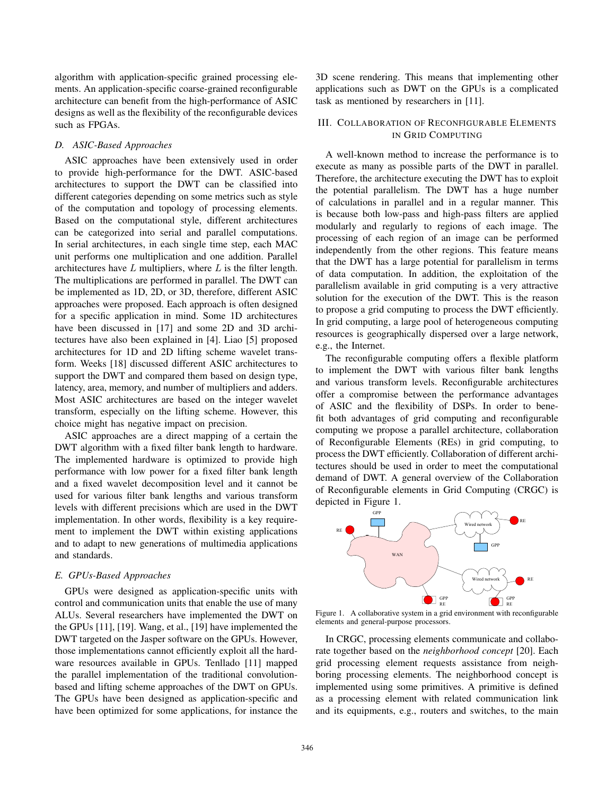algorithm with application-specific grained processing elements. An application-specific coarse-grained reconfigurable architecture can benefit from the high-performance of ASIC designs as well as the flexibility of the reconfigurable devices such as FPGAs.

## *D. ASIC-Based Approaches*

ASIC approaches have been extensively used in order to provide high-performance for the DWT. ASIC-based architectures to support the DWT can be classified into different categories depending on some metrics such as style of the computation and topology of processing elements. Based on the computational style, different architectures can be categorized into serial and parallel computations. In serial architectures, in each single time step, each MAC unit performs one multiplication and one addition. Parallel architectures have *L* multipliers, where *L* is the filter length. The multiplications are performed in parallel. The DWT can be implemented as 1D, 2D, or 3D, therefore, different ASIC approaches were proposed. Each approach is often designed for a specific application in mind. Some 1D architectures have been discussed in [17] and some 2D and 3D architectures have also been explained in [4]. Liao [5] proposed architectures for 1D and 2D lifting scheme wavelet transform. Weeks [18] discussed different ASIC architectures to support the DWT and compared them based on design type, latency, area, memory, and number of multipliers and adders. Most ASIC architectures are based on the integer wavelet transform, especially on the lifting scheme. However, this choice might has negative impact on precision.

ASIC approaches are a direct mapping of a certain the DWT algorithm with a fixed filter bank length to hardware. The implemented hardware is optimized to provide high performance with low power for a fixed filter bank length and a fixed wavelet decomposition level and it cannot be used for various filter bank lengths and various transform levels with different precisions which are used in the DWT implementation. In other words, flexibility is a key requirement to implement the DWT within existing applications and to adapt to new generations of multimedia applications and standards.

#### *E. GPUs-Based Approaches*

GPUs were designed as application-specific units with control and communication units that enable the use of many ALUs. Several researchers have implemented the DWT on the GPUs [11], [19]. Wang, et al., [19] have implemented the DWT targeted on the Jasper software on the GPUs. However, those implementations cannot efficiently exploit all the hardware resources available in GPUs. Tenllado [11] mapped the parallel implementation of the traditional convolutionbased and lifting scheme approaches of the DWT on GPUs. The GPUs have been designed as application-specific and have been optimized for some applications, for instance the

3D scene rendering. This means that implementing other applications such as DWT on the GPUs is a complicated task as mentioned by researchers in [11].

# III. COLLABORATION OF RECONFIGURABLE ELEMENTS IN GRID COMPUTING

A well-known method to increase the performance is to execute as many as possible parts of the DWT in parallel. Therefore, the architecture executing the DWT has to exploit the potential parallelism. The DWT has a huge number of calculations in parallel and in a regular manner. This is because both low-pass and high-pass filters are applied modularly and regularly to regions of each image. The processing of each region of an image can be performed independently from the other regions. This feature means that the DWT has a large potential for parallelism in terms of data computation. In addition, the exploitation of the parallelism available in grid computing is a very attractive solution for the execution of the DWT. This is the reason to propose a grid computing to process the DWT efficiently. In grid computing, a large pool of heterogeneous computing resources is geographically dispersed over a large network, e.g., the Internet.

The reconfigurable computing offers a flexible platform to implement the DWT with various filter bank lengths and various transform levels. Reconfigurable architectures offer a compromise between the performance advantages of ASIC and the flexibility of DSPs. In order to benefit both advantages of grid computing and reconfigurable computing we propose a parallel architecture, collaboration of Reconfigurable Elements (REs) in grid computing, to process the DWT efficiently. Collaboration of different architectures should be used in order to meet the computational demand of DWT. A general overview of the Collaboration of Reconfigurable elements in Grid Computing (CRGC) is depicted in Figure 1.



Figure 1. A collaborative system in a grid environment with reconfigurable elements and general-purpose processors.

In CRGC, processing elements communicate and collaborate together based on the *neighborhood concept* [20]. Each grid processing element requests assistance from neighboring processing elements. The neighborhood concept is implemented using some primitives. A primitive is defined as a processing element with related communication link and its equipments, e.g., routers and switches, to the main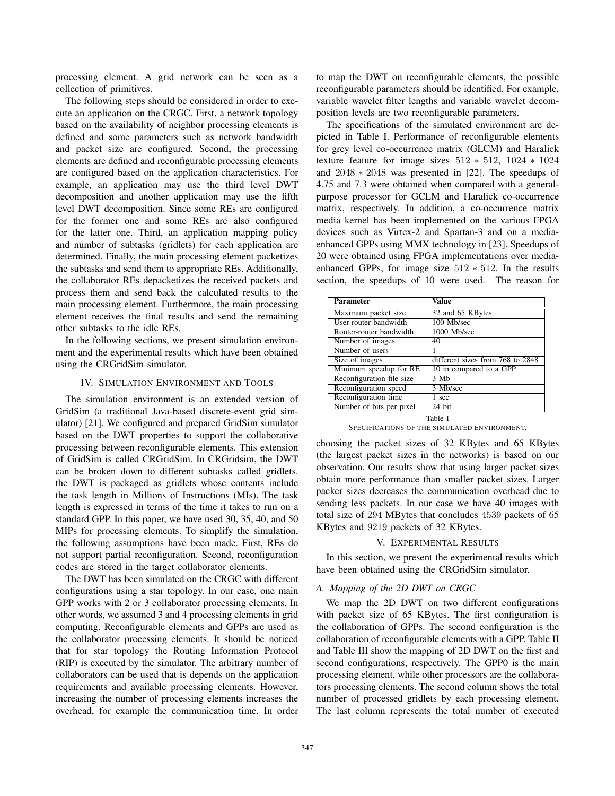processing element. A grid network can be seen as a collection of primitives.

The following steps should be considered in order to execute an application on the CRGC. First, a network topology based on the availability of neighbor processing elements is defined and some parameters such as network bandwidth and packet size are configured. Second, the processing elements are defined and reconfigurable processing elements are configured based on the application characteristics. For example, an application may use the third level DWT decomposition and another application may use the fifth level DWT decomposition. Since some REs are configured for the former one and some REs are also configured for the latter one. Third, an application mapping policy and number of subtasks (gridlets) for each application are determined. Finally, the main processing element packetizes the subtasks and send them to appropriate REs. Additionally, the collaborator REs depacketizes the received packets and process them and send back the calculated results to the main processing element. Furthermore, the main processing element receives the final results and send the remaining other subtasks to the idle REs.

In the following sections, we present simulation environment and the experimental results which have been obtained using the CRGridSim simulator.

## IV. SIMULATION ENVIRONMENT AND TOOLS

The simulation environment is an extended version of GridSim (a traditional Java-based discrete-event grid simulator) [21]. We configured and prepared GridSim simulator based on the DWT properties to support the collaborative processing between reconfigurable elements. This extension of GridSim is called CRGridSim. In CRGridsim, the DWT can be broken down to different subtasks called gridlets. the DWT is packaged as gridlets whose contents include the task length in Millions of Instructions (MIs). The task length is expressed in terms of the time it takes to run on a standard GPP. In this paper, we have used 30, 35, 40, and 50 MIPs for processing elements. To simplify the simulation, the following assumptions have been made. First, REs do not support partial reconfiguration. Second, reconfiguration codes are stored in the target collaborator elements.

The DWT has been simulated on the CRGC with different configurations using a star topology. In our case, one main GPP works with 2 or 3 collaborator processing elements. In other words, we assumed 3 and 4 processing elements in grid computing. Reconfigurable elements and GPPs are used as the collaborator processing elements. It should be noticed that for star topology the Routing Information Protocol (RIP) is executed by the simulator. The arbitrary number of collaborators can be used that is depends on the application requirements and available processing elements. However, increasing the number of processing elements increases the overhead, for example the communication time. In order to map the DWT on reconfigurable elements, the possible reconfigurable parameters should be identified. For example, variable wavelet filter lengths and variable wavelet decomposition levels are two reconfigurable parameters.

The specifications of the simulated environment are depicted in Table I. Performance of reconfigurable elements for grey level co-occurrence matrix (GLCM) and Haralick texture feature for image sizes 512 ∗ 512, 1024 ∗ 1024 and 2048 ∗ 2048 was presented in [22]. The speedups of 4.75 and 7.3 were obtained when compared with a generalpurpose processor for GCLM and Haralick co-occurrence matrix, respectively. In addition, a co-occurrence matrix media kernel has been implemented on the various FPGA devices such as Virtex-2 and Spartan-3 and on a mediaenhanced GPPs using MMX technology in [23]. Speedups of 20 were obtained using FPGA implementations over mediaenhanced GPPs, for image size  $512 * 512$ . In the results section, the speedups of 10 were used. The reason for

| <b>Parameter</b>          | Value                            |  |
|---------------------------|----------------------------------|--|
| Maximum packet size       | 32 and 65 KBytes                 |  |
| User-router bandwidth     | 100 Mb/sec                       |  |
| Router-router bandwidth   | 1000 Mb/sec                      |  |
| Number of images          | 40                               |  |
| Number of users           |                                  |  |
| Size of images            | different sizes from 768 to 2848 |  |
| Minimum speedup for RE    | 10 in compared to a GPP          |  |
| Reconfiguration file size | $3$ Mb                           |  |
| Reconfiguration speed     | 3 Mb/sec                         |  |
| Reconfiguration time      | 1 sec                            |  |
| Number of bits per pixel  | $24$ bit                         |  |
| Table I                   |                                  |  |

SPECIFICATIONS OF THE SIMULATED ENVIRONMENT.

choosing the packet sizes of 32 KBytes and 65 KBytes (the largest packet sizes in the networks) is based on our observation. Our results show that using larger packet sizes obtain more performance than smaller packet sizes. Larger packer sizes decreases the communication overhead due to sending less packets. In our case we have 40 images with total size of 294 MBytes that concludes 4539 packets of 65 KBytes and 9219 packets of 32 KBytes.

#### V. EXPERIMENTAL RESULTS

In this section, we present the experimental results which have been obtained using the CRGridSim simulator.

#### *A. Mapping of the 2D DWT on CRGC*

We map the 2D DWT on two different configurations with packet size of 65 KBytes. The first configuration is the collaboration of GPPs. The second configuration is the collaboration of reconfigurable elements with a GPP. Table II and Table III show the mapping of 2D DWT on the first and second configurations, respectively. The GPP0 is the main processing element, while other processors are the collaborators processing elements. The second column shows the total number of processed gridlets by each processing element. The last column represents the total number of executed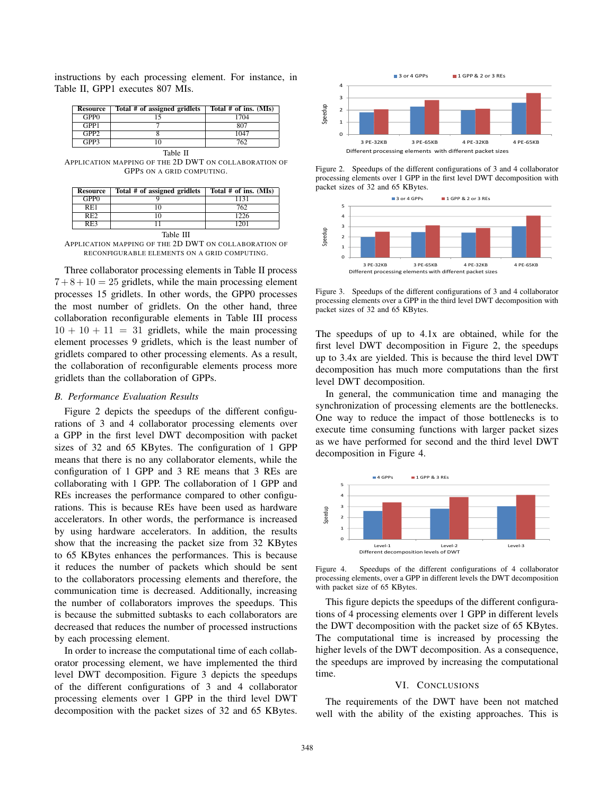instructions by each processing element. For instance, in Table II, GPP1 executes 807 MIs.

| Resource         | Total # of assigned gridlets | Total # of ins. (MIs) |
|------------------|------------------------------|-----------------------|
| GPP <sub>0</sub> |                              | 1704                  |
| GPP1             |                              | 807                   |
| GPP <sub>2</sub> |                              | 1047                  |
| GPP3             | 10                           | 762                   |

Table II APPLICATION MAPPING OF THE 2D DWT ON COLLABORATION OF GPPS ON A GRID COMPUTING.

| Resource         | Total # of assigned gridlets | Total # of ins. (MIs) |
|------------------|------------------------------|-----------------------|
| GPP <sub>0</sub> |                              | 1131                  |
| RE1              |                              | 762                   |
| RE <sub>2</sub>  |                              | 1226                  |
| RF3              |                              |                       |

Table III

APPLICATION MAPPING OF THE 2D DWT ON COLLABORATION OF RECONFIGURABLE ELEMENTS ON A GRID COMPUTING.

Three collaborator processing elements in Table II process  $7 + 8 + 10 = 25$  gridlets, while the main processing element processes 15 gridlets. In other words, the GPP0 processes the most number of gridlets. On the other hand, three collaboration reconfigurable elements in Table III process  $10 + 10 + 11 = 31$  gridlets, while the main processing element processes 9 gridlets, which is the least number of gridlets compared to other processing elements. As a result, the collaboration of reconfigurable elements process more gridlets than the collaboration of GPPs.

### *B. Performance Evaluation Results*

Figure 2 depicts the speedups of the different configurations of 3 and 4 collaborator processing elements over a GPP in the first level DWT decomposition with packet sizes of 32 and 65 KBytes. The configuration of 1 GPP means that there is no any collaborator elements, while the configuration of 1 GPP and 3 RE means that 3 REs are collaborating with 1 GPP. The collaboration of 1 GPP and REs increases the performance compared to other configurations. This is because REs have been used as hardware accelerators. In other words, the performance is increased by using hardware accelerators. In addition, the results show that the increasing the packet size from 32 KBytes to 65 KBytes enhances the performances. This is because it reduces the number of packets which should be sent to the collaborators processing elements and therefore, the communication time is decreased. Additionally, increasing the number of collaborators improves the speedups. This is because the submitted subtasks to each collaborators are decreased that reduces the number of processed instructions by each processing element.

In order to increase the computational time of each collaborator processing element, we have implemented the third level DWT decomposition. Figure 3 depicts the speedups of the different configurations of 3 and 4 collaborator processing elements over 1 GPP in the third level DWT decomposition with the packet sizes of 32 and 65 KBytes.



Figure 2. Speedups of the different configurations of 3 and 4 collaborator processing elements over 1 GPP in the first level DWT decomposition with packet sizes of 32 and 65 KBytes.



Figure 3. Speedups of the different configurations of 3 and 4 collaborator processing elements over a GPP in the third level DWT decomposition with packet sizes of 32 and 65 KBytes.

The speedups of up to 4.1x are obtained, while for the first level DWT decomposition in Figure 2, the speedups up to 3.4x are yielded. This is because the third level DWT decomposition has much more computations than the first level DWT decomposition.

In general, the communication time and managing the synchronization of processing elements are the bottlenecks. One way to reduce the impact of those bottlenecks is to execute time consuming functions with larger packet sizes as we have performed for second and the third level DWT decomposition in Figure 4.





This figure depicts the speedups of the different configurations of 4 processing elements over 1 GPP in different levels the DWT decomposition with the packet size of 65 KBytes. The computational time is increased by processing the higher levels of the DWT decomposition. As a consequence, the speedups are improved by increasing the computational time.

# VI. CONCLUSIONS

The requirements of the DWT have been not matched well with the ability of the existing approaches. This is